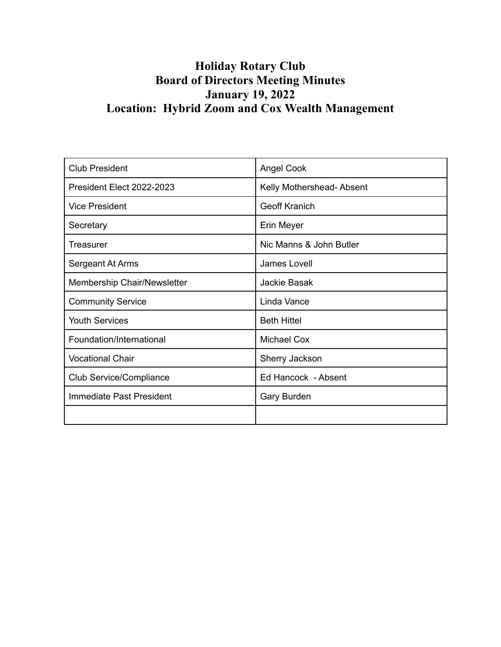# **Holiday Rotary Club Board of Directors Meeting Minutes January 19, 2022 Location: Hybrid Zoom and Cox Wealth Management**

| <b>Club President</b>       | <b>Angel Cook</b>        |
|-----------------------------|--------------------------|
| President Elect 2022-2023   | Kelly Mothershead-Absent |
| <b>Vice President</b>       | <b>Geoff Kranich</b>     |
| Secretary                   | Erin Meyer               |
| Treasurer                   | Nic Manns & John Butler  |
| Sergeant At Arms            | James Lovell             |
| Membership Chair/Newsletter | Jackie Basak             |
| <b>Community Service</b>    | Linda Vance              |
| <b>Youth Services</b>       | <b>Beth Hittel</b>       |
| Foundation/International    | <b>Michael Cox</b>       |
| <b>Vocational Chair</b>     | Sherry Jackson           |
| Club Service/Compliance     | Ed Hancock - Absent      |
| Immediate Past President    | <b>Gary Burden</b>       |
|                             |                          |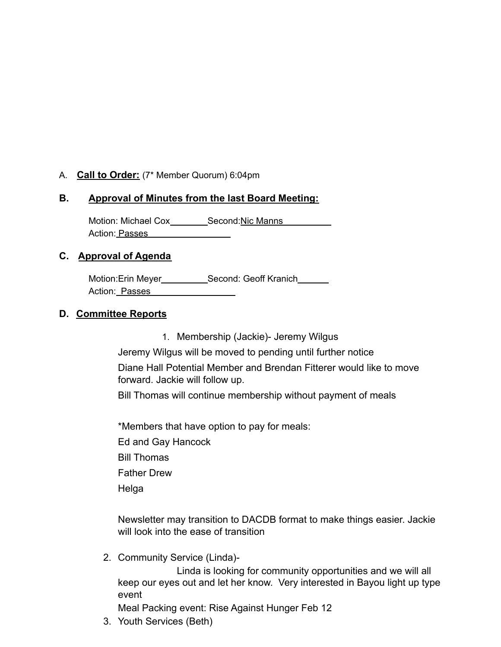# A. **Call to Order:** (7\* Member Quorum) 6:04pm

## **B. Approval of Minutes from the last Board Meeting:**

Motion: Michael Cox Second:Nic Manns Action: Passes

#### **C. Approval of Agenda**

Motion:Erin Meyer\_\_\_\_\_\_\_\_\_\_\_\_Second: Geoff Kranich\_\_\_\_\_\_\_ Action: Passes

#### **D. Committee Reports**

1. Membership (Jackie)- Jeremy Wilgus

Jeremy Wilgus will be moved to pending until further notice Diane Hall Potential Member and Brendan Fitterer would like to move forward. Jackie will follow up.

Bill Thomas will continue membership without payment of meals

\*Members that have option to pay for meals:

Ed and Gay Hancock

Bill Thomas

Father Drew

Helga

Newsletter may transition to DACDB format to make things easier. Jackie will look into the ease of transition

2. Community Service (Linda)-

Linda is looking for community opportunities and we will all keep our eyes out and let her know. Very interested in Bayou light up type event

Meal Packing event: Rise Against Hunger Feb 12

3. Youth Services (Beth)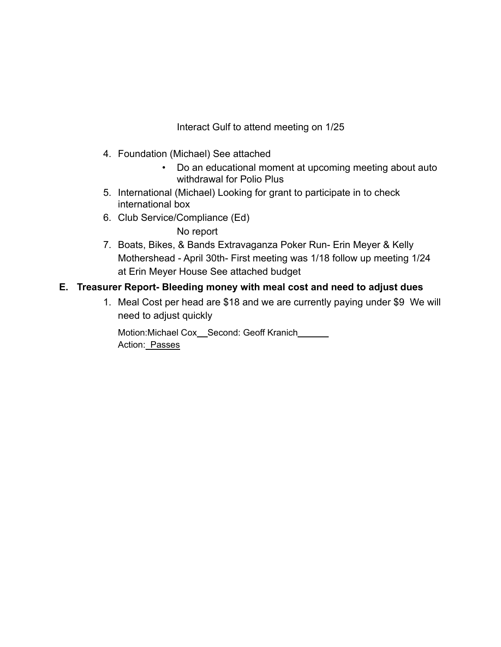Interact Gulf to attend meeting on 1/25

- 4. Foundation (Michael) See attached
	- Do an educational moment at upcoming meeting about auto withdrawal for Polio Plus
- 5. International (Michael) Looking for grant to participate in to check international box
- 6. Club Service/Compliance (Ed) No report
- 7. Boats, Bikes, & Bands Extravaganza Poker Run- Erin Meyer & Kelly Mothershead - April 30th- First meeting was 1/18 follow up meeting 1/24 at Erin Meyer House See attached budget

# **E. Treasurer Report- Bleeding money with meal cost and need to adjust dues**

1. Meal Cost per head are \$18 and we are currently paying under \$9 We will need to adjust quickly

Motion:Michael Cox\_Second: Geoff Kranich\_\_\_\_\_\_ Action: Passes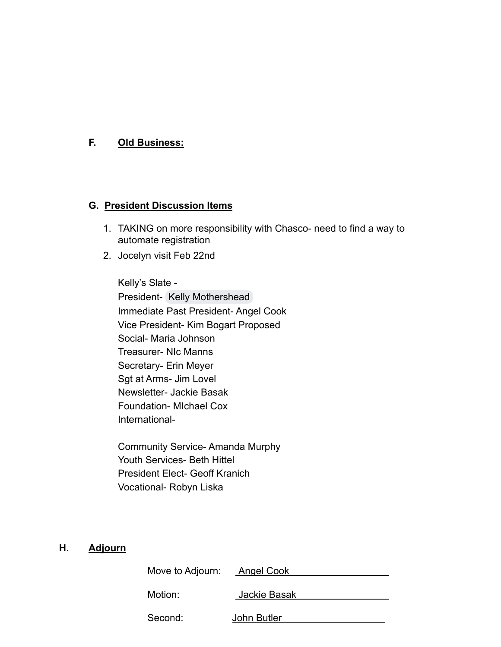## **F. Old Business:**

#### **G. President Discussion Items**

- 1. TAKING on more responsibility with Chasco- need to find a way to automate registration
- 2. Jocelyn visit Feb 22nd

Kelly's Slate - President- [Kelly Mothershead](mailto:jonesk296@gmail.com) Immediate Past President- Angel Cook Vice President- Kim Bogart Proposed Social- Maria Johnson Treasurer- NIc Manns Secretary- Erin Meyer Sgt at Arms- Jim Lovel Newsletter- Jackie Basak Foundation- MIchael Cox International-

Community Service- Amanda Murphy Youth Services- Beth Hittel President Elect- Geoff Kranich Vocational- Robyn Liska

#### **H. Adjourn**

| Move to Adjourn: | Angel Cook   |
|------------------|--------------|
| Motion:          | Jackie Basak |
| Second:          | John Butler  |